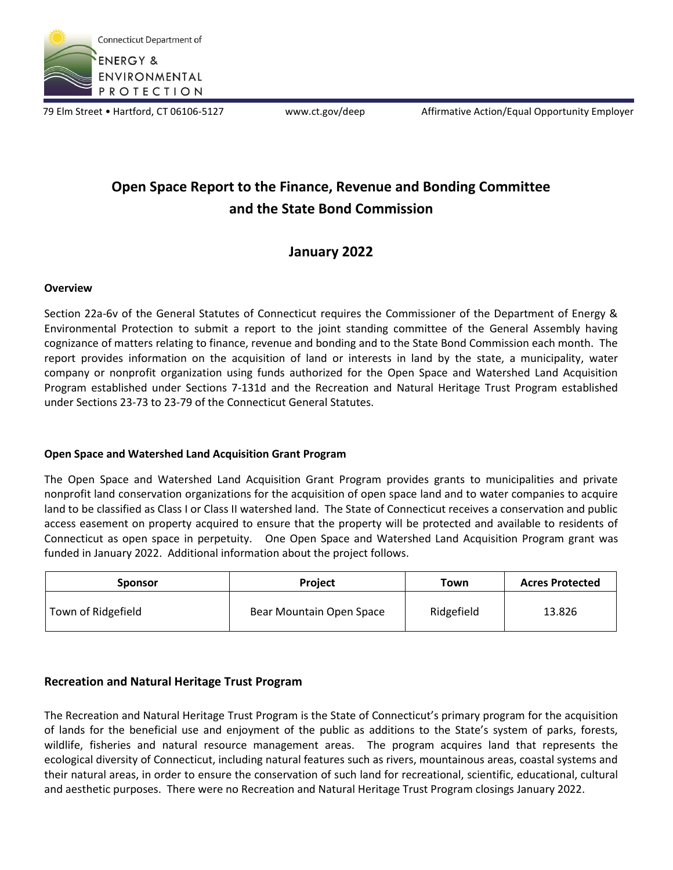

79 Elm Street • Hartford, CT 06106-5127 www.ct.gov/deep Affirmative Action/Equal Opportunity Employer

# **Open Space Report to the Finance, Revenue and Bonding Committee and the State Bond Commission**

## **January 2022**

#### **Overview**

Section 22a-6v of the General Statutes of Connecticut requires the Commissioner of the Department of Energy & Environmental Protection to submit a report to the joint standing committee of the General Assembly having cognizance of matters relating to finance, revenue and bonding and to the State Bond Commission each month. The report provides information on the acquisition of land or interests in land by the state, a municipality, water company or nonprofit organization using funds authorized for the Open Space and Watershed Land Acquisition Program established under Sections 7-131d and the Recreation and Natural Heritage Trust Program established under Sections 23-73 to 23-79 of the Connecticut General Statutes.

#### **Open Space and Watershed Land Acquisition Grant Program**

The Open Space and Watershed Land Acquisition Grant Program provides grants to municipalities and private nonprofit land conservation organizations for the acquisition of open space land and to water companies to acquire land to be classified as Class I or Class II watershed land. The State of Connecticut receives a conservation and public access easement on property acquired to ensure that the property will be protected and available to residents of Connecticut as open space in perpetuity. One Open Space and Watershed Land Acquisition Program grant was funded in January 2022. Additional information about the project follows.

| <b>Sponsor</b>     | <b>Project</b>           | Town       | <b>Acres Protected</b> |
|--------------------|--------------------------|------------|------------------------|
| Town of Ridgefield | Bear Mountain Open Space | Ridgefield | 13.826                 |

### **Recreation and Natural Heritage Trust Program**

The Recreation and Natural Heritage Trust Program is the State of Connecticut's primary program for the acquisition of lands for the beneficial use and enjoyment of the public as additions to the State's system of parks, forests, wildlife, fisheries and natural resource management areas. The program acquires land that represents the ecological diversity of Connecticut, including natural features such as rivers, mountainous areas, coastal systems and their natural areas, in order to ensure the conservation of such land for recreational, scientific, educational, cultural and aesthetic purposes. There were no Recreation and Natural Heritage Trust Program closings January 2022.